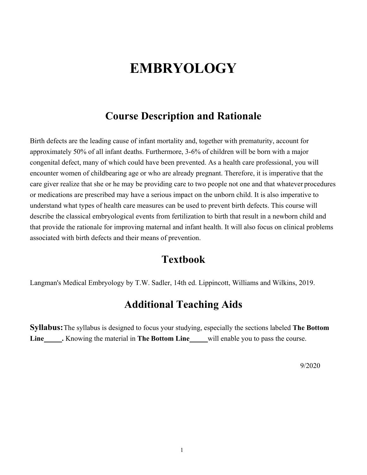# **EMBRYOLOGY**

## **Course Description and Rationale**

Birth defects are the leading cause of infant mortality and, together with prematurity, account for approximately 50% of all infant deaths. Furthermore, 3-6% of children will be born with a major congenital defect, many of which could have been prevented. As a health care professional, you will encounter women of childbearing age or who are already pregnant. Therefore, it is imperative that the care giver realize that she or he may be providing care to two people not one and that whatever procedures or medications are prescribed may have a serious impact on the unborn child. It is also imperative to understand what types of health care measures can be used to prevent birth defects. This course will describe the classical embryological events from fertilization to birth that result in a newborn child and that provide the rationale for improving maternal and infant health. It will also focus on clinical problems associated with birth defects and their means of prevention.

## **Textbook**

Langman's Medical Embryology by T.W. Sadler, 14th ed. Lippincott, Williams and Wilkins, 2019.

## **Additional Teaching Aids**

**Syllabus:** The syllabus is designed to focus your studying, especially the sections labeled **The Bottom**  Line\_\_\_\_\_\_. Knowing the material in The Bottom Line\_\_\_\_\_will enable you to pass the course.

9/2020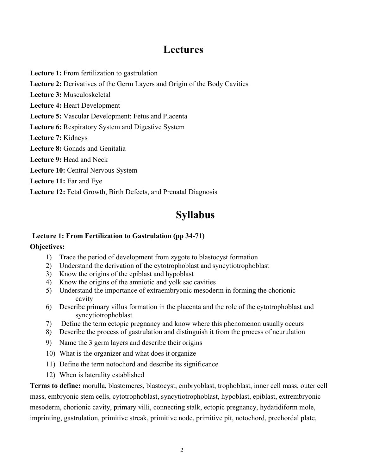## **Lectures**

**Lecture 1:** From fertilization to gastrulation

**Lecture 2:** Derivatives of the Germ Layers and Origin of the Body Cavities

**Lecture 3:** Musculoskeletal

**Lecture 4:** Heart Development

**Lecture 5:** Vascular Development: Fetus and Placenta

**Lecture 6:** Respiratory System and Digestive System

**Lecture 7:** Kidneys

**Lecture 8:** Gonads and Genitalia

**Lecture 9:** Head and Neck

Lecture 10: Central Nervous System

**Lecture 11:** Ear and Eye

**Lecture 12:** Fetal Growth, Birth Defects, and Prenatal Diagnosis

# **Syllabus**

## **Lecture 1: From Fertilization to Gastrulation (pp 34-71)**

#### **Objectives:**

- 1) Trace the period of development from zygote to blastocyst formation
- 2) Understand the derivation of the cytotrophoblast and syncytiotrophoblast
- 3) Know the origins of the epiblast and hypoblast
- 4) Know the origins of the amniotic and yolk sac cavities
- 5) Understand the importance of extraembryonic mesoderm in forming the chorionic cavity
- 6) Describe primary villus formation in the placenta and the role of the cytotrophoblast and syncytiotrophoblast
- 7) Define the term ectopic pregnancy and know where this phenomenon usually occurs
- 8) Describe the process of gastrulation and distinguish it from the process of neurulation
- 9) Name the 3 germ layers and describe their origins
- 10) What is the organizer and what does it organize
- 11) Define the term notochord and describe its significance
- 12) When is laterality established

**Terms to define:** morulla, blastomeres, blastocyst, embryoblast, trophoblast, inner cell mass, outer cell mass, embryonic stem cells, cytotrophoblast, syncytiotrophoblast, hypoblast, epiblast, extrembryonic mesoderm, chorionic cavity, primary villi, connecting stalk, ectopic pregnancy, hydatidiform mole, imprinting, gastrulation, primitive streak, primitive node, primitive pit, notochord, prechordal plate,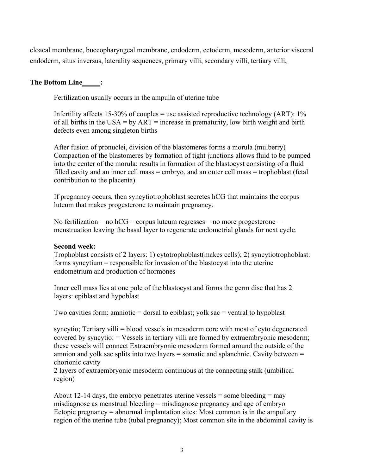cloacal membrane, buccopharyngeal membrane, endoderm, ectoderm, mesoderm, anterior visceral endoderm, situs inversus, laterality sequences, primary villi, secondary villi, tertiary villi,

#### The Bottom Line\_\_\_\_\_\_;

Fertilization usually occurs in the ampulla of uterine tube

Infertility affects 15-30% of couples = use assisted reproductive technology (ART):  $1\%$ of all births in the USA = by  $ART$  = increase in prematurity, low birth weight and birth defects even among singleton births

After fusion of pronuclei, division of the blastomeres forms a morula (mulberry) Compaction of the blastomeres by formation of tight junctions allows fluid to be pumped into the center of the morula: results in formation of the blastocyst consisting of a fluid filled cavity and an inner cell mass = embryo, and an outer cell mass = trophoblast (fetal contribution to the placenta)

If pregnancy occurs, then syncytiotrophoblast secretes hCG that maintains the corpus luteum that makes progesterone to maintain pregnancy.

No fertilization = no  $h = mc$  = corpus luteum regresses = no more progesterone = menstruation leaving the basal layer to regenerate endometrial glands for next cycle.

#### **Second week:**

Trophoblast consists of 2 layers: 1) cytotrophoblast(makes cells); 2) syncytiotrophoblast: forms syncytium = responsible for invasion of the blastocyst into the uterine endometrium and production of hormones

Inner cell mass lies at one pole of the blastocyst and forms the germ disc that has 2 layers: epiblast and hypoblast

Two cavities form: amniotic = dorsal to epiblast; yolk sac = ventral to hypoblast

syncytio; Tertiary villi = blood vessels in mesoderm core with most of cyto degenerated covered by syncytio: = Vessels in tertiary villi are formed by extraembryonic mesoderm; these vessels will connect Extraembryonic mesoderm formed around the outside of the amnion and yolk sac splits into two layers = somatic and splanchnic. Cavity between = chorionic cavity

2 layers of extraembryonic mesoderm continuous at the connecting stalk (umbilical region)

About 12-14 days, the embryo penetrates uterine vessels = some bleeding = may misdiagnose as menstrual bleeding = misdiagnose pregnancy and age of embryo Ectopic pregnancy = abnormal implantation sites: Most common is in the ampullary region of the uterine tube (tubal pregnancy); Most common site in the abdominal cavity is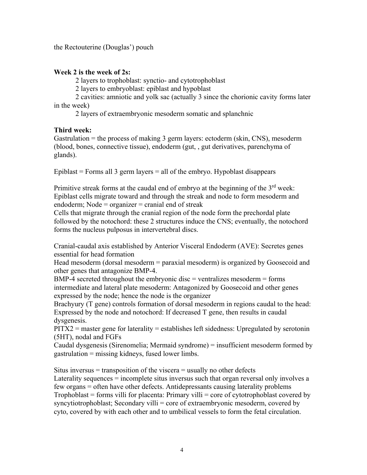the Rectouterine (Douglas') pouch

#### **Week 2 is the week of 2s:**

2 layers to trophoblast: synctio- and cytotrophoblast

2 layers to embryoblast: epiblast and hypoblast

2 cavities: amniotic and yolk sac (actually 3 since the chorionic cavity forms later in the week)

2 layers of extraembryonic mesoderm somatic and splanchnic

## **Third week:**

Gastrulation = the process of making 3 germ layers: ectoderm (skin, CNS), mesoderm (blood, bones, connective tissue), endoderm (gut, , gut derivatives, parenchyma of glands).

Epiblast  $=$  Forms all 3 germ layers  $=$  all of the embryo. Hypoblast disappears

Primitive streak forms at the caudal end of embryo at the beginning of the  $3<sup>rd</sup>$  week: Epiblast cells migrate toward and through the streak and node to form mesoderm and endoderm; Node  $=$  organizer  $=$  cranial end of streak

Cells that migrate through the cranial region of the node form the prechordal plate followed by the notochord: these 2 structures induce the CNS; eventually, the notochord forms the nucleus pulposus in intervertebral discs.

Cranial-caudal axis established by Anterior Visceral Endoderm (AVE): Secretes genes essential for head formation

Head mesoderm (dorsal mesoderm = paraxial mesoderm) is organized by Goosecoid and other genes that antagonize BMP-4.

 $BMP-4$  secreted throughout the embryonic disc = ventralizes mesoderm = forms intermediate and lateral plate mesoderm: Antagonized by Goosecoid and other genes expressed by the node; hence the node is the organizer

Brachyury (T gene) controls formation of dorsal mesoderm in regions caudal to the head: Expressed by the node and notochord: If decreased T gene, then results in caudal dysgenesis.

 $PITX2$  = master gene for laterality = establishes left sidedness: Upregulated by serotonin (5HT), nodal and FGFs

Caudal dysgenesis (Sirenomelia; Mermaid syndrome) = insufficient mesoderm formed by gastrulation = missing kidneys, fused lower limbs.

Situs inversus  $=$  transposition of the viscera  $=$  usually no other defects Laterality sequences = incomplete situs inversus such that organ reversal only involves a few organs = often have other defects. Antidepressants causing laterality problems Trophoblast = forms villi for placenta: Primary villi = core of cytotrophoblast covered by syncytiotrophoblast; Secondary villi = core of extraembryonic mesoderm, covered by cyto, covered by with each other and to umbilical vessels to form the fetal circulation.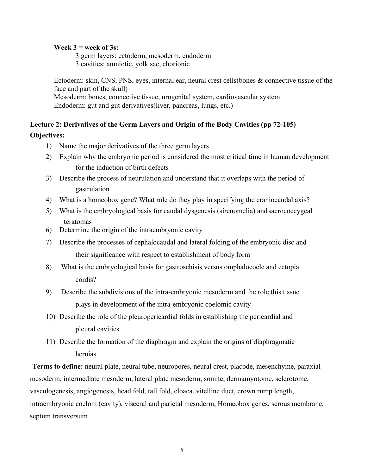#### **Week 3 = week of 3s:**

3 germ layers: ectoderm, mesoderm, endoderm 3 cavities: amniotic, yolk sac, chorionic

Ectoderm: skin, CNS, PNS, eyes, internal ear, neural crest cells(bones & connective tissue of the face and part of the skull) Mesoderm: bones, connective tissue, urogenital system, cardiovascular system Endoderm: gut and gut derivatives(liver, pancreas, lungs, etc.)

## **Lecture 2: Derivatives of the Germ Layers and Origin of the Body Cavities (pp 72-105) Objectives:**

- 1) Name the major derivatives of the three germ layers
- 2) Explain why the embryonic period is considered the most critical time in human development for the induction of birth defects
- 3) Describe the process of neurulation and understand that it overlaps with the period of gastrulation
- 4) What is a homeobox gene? What role do they play in specifying the craniocaudal axis?
- 5) What is the embryological basis for caudal dysgenesis (sirenomelia) and sacrococcygeal teratomas
- 6) Determine the origin of the intraembryonic cavity
- 7) Describe the processes of cephalocaudal and lateral folding of the embryonic disc and their significance with respect to establishment of body form
- 8) What is the embryological basis for gastroschisis versus omphalocoele and ectopia cordis?
- 9) Describe the subdivisions of the intra-embryonic mesoderm and the role this tissue plays in development of the intra-embryonic coelomic cavity
- 10) Describe the role of the pleuropericardial folds in establishing the pericardial and pleural cavities
- 11) Describe the formation of the diaphragm and explain the origins of diaphragmatic hernias

**Terms to define:** neural plate, neural tube, neuropores, neural crest, placode, mesenchyme, paraxial mesoderm, intermediate mesoderm, lateral plate mesoderm, somite, dermamyotome, sclerotome, vasculogenesis, angiogenesis, head fold, tail fold, cloaca, vitelline duct, crown rump length, intraembryonic coelom (cavity), visceral and parietal mesoderm, Homeobox genes, serous membrane, septum transversum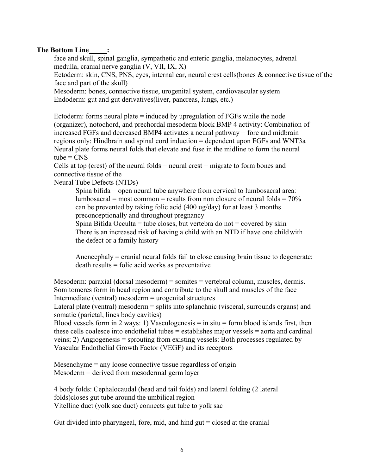## **The Bottom Line :**

face and skull, spinal ganglia, sympathetic and enteric ganglia, melanocytes, adrenal medulla, cranial nerve ganglia (V, VII, IX, X)

Ectoderm: skin, CNS, PNS, eyes, internal ear, neural crest cells(bones & connective tissue of the face and part of the skull)

Mesoderm: bones, connective tissue, urogenital system, cardiovascular system Endoderm: gut and gut derivatives(liver, pancreas, lungs, etc.)

Ectoderm: forms neural plate = induced by upregulation of FGFs while the node (organizer), notochord, and prechordal mesoderm block BMP 4 activity: Combination of increased FGFs and decreased BMP4 activates a neural pathway = fore and midbrain regions only: Hindbrain and spinal cord induction = dependent upon FGFs and WNT3a Neural plate forms neural folds that elevate and fuse in the midline to form the neural  $tube = CMS$ 

Cells at top (crest) of the neural folds  $=$  neural crest  $=$  migrate to form bones and connective tissue of the

Neural Tube Defects (NTDs)

Spina bifida = open neural tube anywhere from cervical to lumbosacral area: lumbosacral = most common = results from non closure of neural folds =  $70\%$ can be prevented by taking folic acid (400 ug/day) for at least 3 months preconceptionally and throughout pregnancy

Spina Bifida Occulta = tube closes, but vertebra do not = covered by skin There is an increased risk of having a child with an NTD if have one child with the defect or a family history

Anencephaly = cranial neural folds fail to close causing brain tissue to degenerate; death results = folic acid works as preventative

Mesoderm: paraxial (dorsal mesoderm) = somites = vertebral column, muscles, dermis. Somitomeres form in head region and contribute to the skull and muscles of the face Intermediate (ventral) mesoderm = urogenital structures

Lateral plate (ventral) mesoderm = splits into splanchnic (visceral, surrounds organs) and somatic (parietal, lines body cavities)

Blood vessels form in 2 ways: 1) Vasculogenesis  $=$  in situ  $=$  form blood islands first, then these cells coalesce into endothelial tubes = establishes major vessels = aorta and cardinal veins; 2) Angiogenesis = sprouting from existing vessels: Both processes regulated by Vascular Endothelial Growth Factor (VEGF) and its receptors

Mesenchyme = any loose connective tissue regardless of origin Mesoderm = derived from mesodermal germ layer

4 body folds: Cephalocaudal (head and tail folds) and lateral folding (2 lateral folds)closes gut tube around the umbilical region Vitelline duct (yolk sac duct) connects gut tube to yolk sac

Gut divided into pharyngeal, fore, mid, and hind  $gut = closed$  at the cranial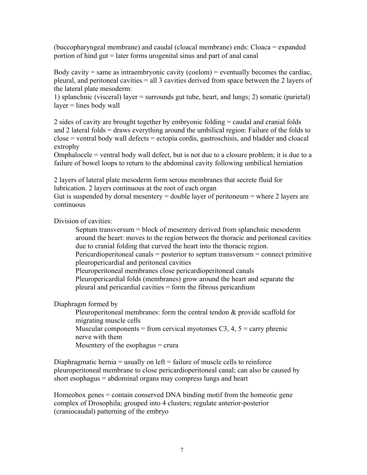(buccopharyngeal membrane) and caudal (cloacal membrane) ends: Cloaca = expanded portion of hind gut = later forms urogenital sinus and part of anal canal

Body cavity  $=$  same as intraembryonic cavity (coelom)  $=$  eventually becomes the cardiac, pleural, and peritoneal cavities = all 3 cavities derived from space between the 2 layers of the lateral plate mesoderm:

1) splanchnic (visceral) layer = surrounds gut tube, heart, and lungs; 2) somatic (parietal)  $layer = lines$  body wall

2 sides of cavity are brought together by embryonic folding = caudal and cranial folds and 2 lateral folds = draws everything around the umbilical region: Failure of the folds to close = ventral body wall defects = ectopia cordis, gastroschisis, and bladder and cloacal extrophy

Omphalocele = ventral body wall defect, but is not due to a closure problem; it is due to a failure of bowel loops to return to the abdominal cavity following umbilical herniation

2 layers of lateral plate mesoderm form serous membranes that secrete fluid for lubrication. 2 layers continuous at the root of each organ

Gut is suspended by dorsal mesentery  $=$  double layer of peritoneum  $=$  where 2 layers are continuous

Division of cavities:

Septum transversum = block of mesentery derived from splanchnic mesoderm around the heart: moves to the region between the thoracic and peritoneal cavities due to cranial folding that curved the heart into the thoracic region. Pericardioperitoneal canals = posterior to septum transversum = connect primitive pleuropericardial and peritoneal cavities Pleuroperitoneal membranes close pericardioperitoneal canals Pleuropericardial folds (membranes) grow around the heart and separate the pleural and pericardial cavities = form the fibrous pericardium

Diaphragm formed by

Pleuroperitoneal membranes: form the central tendon & provide scaffold for migrating muscle cells Muscular components = from cervical myotomes C3, 4,  $5 =$  carry phrenic nerve with them Mesentery of the esophagus  $=$  crura

Diaphragmatic hernia  $=$  usually on left  $=$  failure of muscle cells to reinforce pleuroperitoneal membrane to close pericardioperitoneal canal; can also be caused by short esophagus = abdominal organs may compress lungs and heart

Homeobox genes = contain conserved DNA binding motif from the homeotic gene complex of Drosophila; grouped into 4 clusters; regulate anterior-posterior (craniocaudal) patterning of the embryo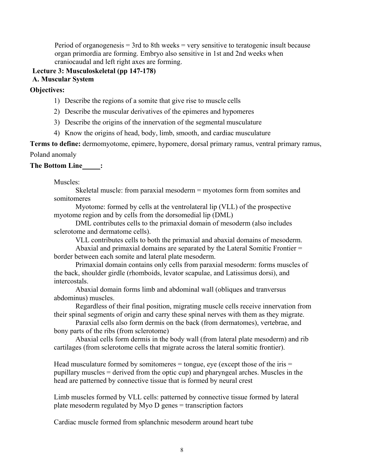Period of organogenesis  $=$  3rd to 8th weeks  $=$  very sensitive to teratogenic insult because organ primordia are forming. Embryo also sensitive in 1st and 2nd weeks when craniocaudal and left right axes are forming.

#### **Lecture 3: Musculoskeletal (pp 147-178) A. Muscular System**

**Objectives:** 

- 1) Describe the regions of a somite that give rise to muscle cells
- 2) Describe the muscular derivatives of the epimeres and hypomeres
- 3) Describe the origins of the innervation of the segmental musculature
- 4) Know the origins of head, body, limb, smooth, and cardiac musculature

**Terms to define:** dermomyotome, epimere, hypomere, dorsal primary ramus, ventral primary ramus, Poland anomaly

## **The Bottom Line :**

Muscles:

Skeletal muscle: from paraxial mesoderm = myotomes form from somites and somitomeres

Myotome: formed by cells at the ventrolateral lip (VLL) of the prospective myotome region and by cells from the dorsomedial lip (DML)

DML contributes cells to the primaxial domain of mesoderm (also includes sclerotome and dermatome cells).

VLL contributes cells to both the primaxial and abaxial domains of mesoderm.

Abaxial and primaxial domains are separated by the Lateral Somitic Frontier = border between each somite and lateral plate mesoderm.

Primaxial domain contains only cells from paraxial mesoderm: forms muscles of the back, shoulder girdle (rhomboids, levator scapulae, and Latissimus dorsi), and intercostals.

Abaxial domain forms limb and abdominal wall (obliques and tranversus abdominus) muscles.

Regardless of their final position, migrating muscle cells receive innervation from their spinal segments of origin and carry these spinal nerves with them as they migrate.

Paraxial cells also form dermis on the back (from dermatomes), vertebrae, and bony parts of the ribs (from sclerotome)

Abaxial cells form dermis in the body wall (from lateral plate mesoderm) and rib cartilages (from sclerotome cells that migrate across the lateral somitic frontier).

Head musculature formed by somitomeres  $=$  tongue, eye (except those of the iris  $=$ pupillary muscles = derived from the optic cup) and pharyngeal arches. Muscles in the head are patterned by connective tissue that is formed by neural crest

Limb muscles formed by VLL cells: patterned by connective tissue formed by lateral plate mesoderm regulated by Myo D genes = transcription factors

Cardiac muscle formed from splanchnic mesoderm around heart tube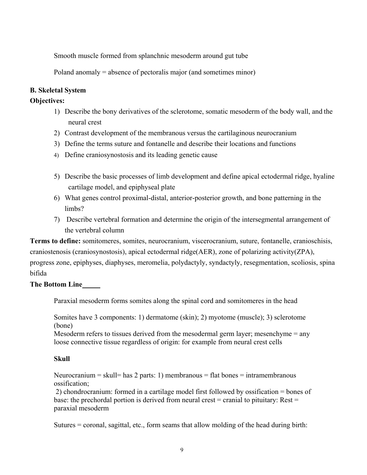Smooth muscle formed from splanchnic mesoderm around gut tube

Poland anomaly = absence of pectoralis major (and sometimes minor)

#### **B. Skeletal System**

#### **Objectives:**

- 1) Describe the bony derivatives of the sclerotome, somatic mesoderm of the body wall, and the neural crest
- 2) Contrast development of the membranous versus the cartilaginous neurocranium
- 3) Define the terms suture and fontanelle and describe their locations and functions
- 4) Define craniosynostosis and its leading genetic cause
- 5) Describe the basic processes of limb development and define apical ectodermal ridge, hyaline cartilage model, and epiphyseal plate
- 6) What genes control proximal-distal, anterior-posterior growth, and bone patterning in the limbs?
- 7) Describe vertebral formation and determine the origin of the intersegmental arrangement of the vertebral column

**Terms to define:** somitomeres, somites, neurocranium, viscerocranium, suture, fontanelle, cranioschisis, craniostenosis (craniosynostosis), apical ectodermal ridge(AER), zone of polarizing activity(ZPA), progress zone, epiphyses, diaphyses, meromelia, polydactyly, syndactyly, resegmentation, scoliosis, spina bifida

#### **The Bottom Line**

Paraxial mesoderm forms somites along the spinal cord and somitomeres in the head

Somites have 3 components: 1) dermatome (skin); 2) myotome (muscle); 3) sclerotome (bone)

Mesoderm refers to tissues derived from the mesodermal germ layer; mesenchyme = any loose connective tissue regardless of origin: for example from neural crest cells

#### **Skull**

Neurocranium = skull= has 2 parts: 1) membranous = flat bones = intramembranous ossification;

2) chondrocranium: formed in a cartilage model first followed by ossification = bones of base: the prechordal portion is derived from neural crest = cranial to pituitary: Rest = paraxial mesoderm

Sutures = coronal, sagittal, etc., form seams that allow molding of the head during birth: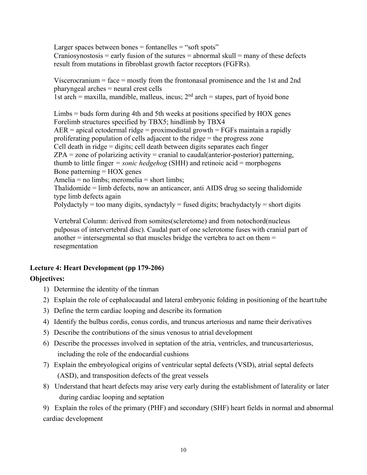Larger spaces between bones  $=$  fontanelles  $=$  "soft spots" Craniosynostosis = early fusion of the sutures = abnormal skull = many of these defects result from mutations in fibroblast growth factor receptors (FGFRs).

Viscerocranium = face = mostly from the frontonasal prominence and the 1st and 2nd pharyngeal arches = neural crest cells 1st arch = maxilla, mandible, malleus, incus;  $2<sup>nd</sup>$  arch = stapes, part of hyoid bone

Limbs = buds form during 4th and 5th weeks at positions specified by HOX genes Forelimb structures specified by TBX5; hindlimb by TBX4  $AER$  = apical ectodermal ridge = proximodistal growth = FGFs maintain a rapidly proliferating population of cells adjacent to the ridge = the progress zone Cell death in ridge = digits; cell death between digits separates each finger  $ZPA =$ zone of polarizing activity = cranial to caudal(anterior-posterior) patterning, thumb to little finger *= sonic hedgehog* (SHH) and retinoic acid = morphogens Bone patterning  $=$  HOX genes Amelia = no limbs; meromelia = short limbs; Thalidomide = limb defects, now an anticancer, anti AIDS drug so seeing thalidomide type limb defects again Polydactyly = too many digits, syndactyly = fused digits; brachydactyly = short digits

Vertebral Column: derived from somites(scleretome) and from notochord(nucleus pulposus of intervertebral disc). Caudal part of one sclerotome fuses with cranial part of another  $=$  intersegmental so that muscles bridge the vertebra to act on them  $=$ resegmentation

# **Lecture 4: Heart Development (pp 179-206)**

## **Objectives:**

- 1) Determine the identity of the tinman
- 2) Explain the role of cephalocaudal and lateral embryonic folding in positioning of the heart tube
- 3) Define the term cardiac looping and describe its formation
- 4) Identify the bulbus cordis, conus cordis, and truncus arteriosus and name their derivatives
- 5) Describe the contributions of the sinus venosus to atrial development
- 6) Describe the processes involved in septation of the atria, ventricles, and truncus arteriosus, including the role of the endocardial cushions
- 7) Explain the embryological origins of ventricular septal defects (VSD), atrial septal defects (ASD), and transposition defects of the great vessels
- 8) Understand that heart defects may arise very early during the establishment of laterality or later during cardiac looping and septation

9) Explain the roles of the primary (PHF) and secondary (SHF) heart fields in normal and abnormal cardiac development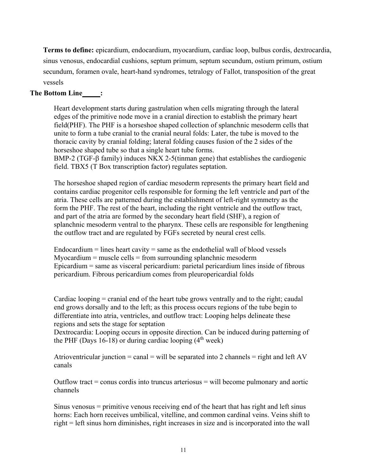**Terms to define:** epicardium, endocardium, myocardium, cardiac loop, bulbus cordis, dextrocardia, sinus venosus, endocardial cushions, septum primum, septum secundum, ostium primum, ostium secundum, foramen ovale, heart-hand syndromes, tetralogy of Fallot, transposition of the great vessels

#### **The Bottom Line :**

Heart development starts during gastrulation when cells migrating through the lateral edges of the primitive node move in a cranial direction to establish the primary heart field(PHF). The PHF is a horseshoe shaped collection of splanchnic mesoderm cells that unite to form a tube cranial to the cranial neural folds: Later, the tube is moved to the thoracic cavity by cranial folding; lateral folding causes fusion of the 2 sides of the horseshoe shaped tube so that a single heart tube forms.

BMP-2 (TGF- $\beta$  family) induces NKX 2-5(tinman gene) that establishes the cardiogenic field. TBX5 (T Box transcription factor) regulates septation.

The horseshoe shaped region of cardiac mesoderm represents the primary heart field and contains cardiac progenitor cells responsible for forming the left ventricle and part of the atria. These cells are patterned during the establishment of left-right symmetry as the form the PHF. The rest of the heart, including the right ventricle and the outflow tract, and part of the atria are formed by the secondary heart field (SHF), a region of splanchnic mesoderm ventral to the pharynx. These cells are responsible for lengthening the outflow tract and are regulated by FGFs secreted by neural crest cells.

Endocardium  $=$  lines heart cavity  $=$  same as the endothelial wall of blood vessels  $Myocardium = muscle cells = from surrounding splanchnic mesoderm$ Epicardium = same as visceral pericardium: parietal pericardium lines inside of fibrous pericardium. Fibrous pericardium comes from pleuropericardial folds

Cardiac looping = cranial end of the heart tube grows ventrally and to the right; caudal end grows dorsally and to the left; as this process occurs regions of the tube begin to differentiate into atria, ventricles, and outflow tract: Looping helps delineate these regions and sets the stage for septation

Dextrocardia: Looping occurs in opposite direction. Can be induced during patterning of the PHF (Days 16-18) or during cardiac looping  $(4<sup>th</sup> week)$ 

Atrioventricular junction = canal = will be separated into 2 channels = right and left  $AV$ canals

Outflow tract  $=$  conus cordis into truncus arteriosus  $=$  will become pulmonary and aortic channels

Sinus venosus = primitive venous receiving end of the heart that has right and left sinus horns: Each horn receives umbilical, vitelline, and common cardinal veins. Veins shift to right = left sinus horn diminishes, right increases in size and is incorporated into the wall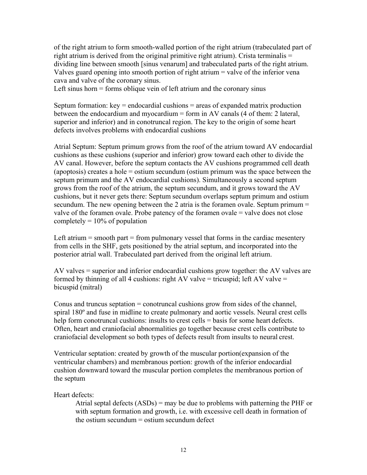of the right atrium to form smooth-walled portion of the right atrium (trabeculated part of right atrium is derived from the original primitive right atrium). Crista terminalis = dividing line between smooth [sinus venarum] and trabeculated parts of the right atrium. Valves guard opening into smooth portion of right atrium = valve of the inferior vena cava and valve of the coronary sinus.

Left sinus horn  $=$  forms oblique vein of left atrium and the coronary sinus

Septum formation:  $key =$  endocardial cushions  $=$  areas of expanded matrix production between the endocardium and myocardium = form in AV canals  $(4 \text{ of them: 2 lateral},$ superior and inferior) and in conotruncal region. The key to the origin of some heart defects involves problems with endocardial cushions

Atrial Septum: Septum primum grows from the roof of the atrium toward AV endocardial cushions as these cushions (superior and inferior) grow toward each other to divide the AV canal. However, before the septum contacts the AV cushions programmed cell death (apoptosis) creates a hole = ostium secundum (ostium primum was the space between the septum primum and the AV endocardial cushions). Simultaneously a second septum grows from the roof of the atrium, the septum secundum, and it grows toward the AV cushions, but it never gets there: Septum secundum overlaps septum primum and ostium secundum. The new opening between the 2 atria is the foramen ovale. Septum primum  $=$ valve of the foramen ovale. Probe patency of the foramen ovale = valve does not close completely  $= 10\%$  of population

Left atrium  $=$  smooth part  $=$  from pulmonary vessel that forms in the cardiac mesentery from cells in the SHF, gets positioned by the atrial septum, and incorporated into the posterior atrial wall. Trabeculated part derived from the original left atrium.

AV valves = superior and inferior endocardial cushions grow together: the AV valves are formed by thinning of all 4 cushions: right AV valve = tricuspid; left AV valve = bicuspid (mitral)

Conus and truncus septation = conotruncal cushions grow from sides of the channel, spiral 180º and fuse in midline to create pulmonary and aortic vessels. Neural crest cells help form conotruncal cushions: insults to crest cells = basis for some heart defects. Often, heart and craniofacial abnormalities go together because crest cells contribute to craniofacial development so both types of defects result from insults to neural crest.

Ventricular septation: created by growth of the muscular portion(expansion of the ventricular chambers) and membranous portion: growth of the inferior endocardial cushion downward toward the muscular portion completes the membranous portion of the septum

Heart defects:

Atrial septal defects (ASDs) = may be due to problems with patterning the PHF or with septum formation and growth, i.e. with excessive cell death in formation of the ostium secundum  $=$  ostium secundum defect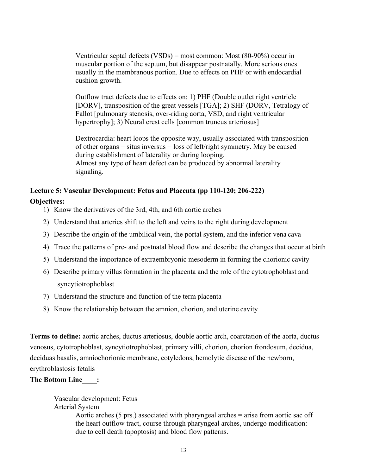Ventricular septal defects  $(VSDs)$  = most common: Most  $(80-90\%)$  occur in muscular portion of the septum, but disappear postnatally. More serious ones usually in the membranous portion. Due to effects on PHF or with endocardial cushion growth.

Outflow tract defects due to effects on: 1) PHF (Double outlet right ventricle [DORV], transposition of the great vessels [TGA]; 2) SHF (DORV, Tetralogy of Fallot [pulmonary stenosis, over-riding aorta, VSD, and right ventricular hypertrophy]; 3) Neural crest cells [common truncus arteriosus]

Dextrocardia: heart loops the opposite way, usually associated with transposition of other organs  $=$  situs inversus  $=$  loss of left/right symmetry. May be caused during establishment of laterality or during looping. Almost any type of heart defect can be produced by abnormal laterality signaling.

## **Lecture 5: Vascular Development: Fetus and Placenta (pp 110-120; 206-222)**

## **Objectives:**

- 1) Know the derivatives of the 3rd, 4th, and 6th aortic arches
- 2) Understand that arteries shift to the left and veins to the right during development
- 3) Describe the origin of the umbilical vein, the portal system, and the inferior vena cava
- 4) Trace the patterns of pre- and postnatal blood flow and describe the changes that occur at birth
- 5) Understand the importance of extraembryonic mesoderm in forming the chorionic cavity
- 6) Describe primary villus formation in the placenta and the role of the cytotrophoblast and syncytiotrophoblast
- 7) Understand the structure and function of the term placenta
- 8) Know the relationship between the amnion, chorion, and uterine cavity

**Terms to define:** aortic arches, ductus arteriosus, double aortic arch, coarctation of the aorta, ductus venosus, cytotrophoblast, syncytiotrophoblast, primary villi, chorion, chorion frondosum, decidua, deciduas basalis, amniochorionic membrane, cotyledons, hemolytic disease of the newborn, erythroblastosis fetalis

## **The Bottom Line :**

Vascular development: Fetus Arterial System Aortic arches (5 prs.) associated with pharyngeal arches = arise from aortic sac off the heart outflow tract, course through pharyngeal arches, undergo modification: due to cell death (apoptosis) and blood flow patterns.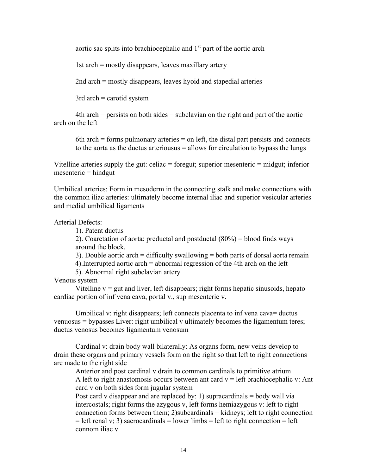aortic sac splits into brachiocephalic and  $1<sup>st</sup>$  part of the aortic arch

1st arch = mostly disappears, leaves maxillary artery

2nd arch = mostly disappears, leaves hyoid and stapedial arteries

 $3rd$  arch = carotid system

 $4th$  arch = persists on both sides = subclavian on the right and part of the aortic arch on the left

6th arch  $=$  forms pulmonary arteries  $=$  on left, the distal part persists and connects to the aorta as the ductus arteriousus  $=$  allows for circulation to bypass the lungs

Vitelline arteries supply the gut: celiac  $=$  foregut; superior mesenteric  $=$  midgut; inferior  $m$ esenteric = hindgut

Umbilical arteries: Form in mesoderm in the connecting stalk and make connections with the common iliac arteries: ultimately become internal iliac and superior vesicular arteries and medial umbilical ligaments

Arterial Defects:

1). Patent ductus

2). Coarctation of aorta: preductal and postductal  $(80\%)$  = blood finds ways around the block.

3). Double aortic arch = difficulty swallowing = both parts of dorsal aorta remain

4).Interrupted aortic arch = abnormal regression of the 4th arch on the left

5). Abnormal right subclavian artery

Venous system

Vitelline  $v = gut$  and liver, left disappears; right forms hepatic sinusoids, hepato cardiac portion of inf vena cava, portal v., sup mesenteric v.

Umbilical v: right disappears; left connects placenta to inf vena cava= ductus venuosus = bypasses Liver: right umbilical v ultimately becomes the ligamentum teres; ductus venosus becomes ligamentum venosum

Cardinal v: drain body wall bilaterally: As organs form, new veins develop to drain these organs and primary vessels form on the right so that left to right connections are made to the right side

Anterior and post cardinal v drain to common cardinals to primitive atrium A left to right anastomosis occurs between ant card  $v =$  left brachiocephalic v: Ant card v on both sides form jugular system

Post card v disappear and are replaced by: 1) supracardinals  $=$  body wall via intercostals; right forms the azygous v, left forms hemiazygous v: left to right connection forms between them;  $2$ )subcardinals = kidneys; left to right connection  $=$  left renal v; 3) sacrocardinals  $=$  lower limbs  $=$  left to right connection  $=$  left connom iliac v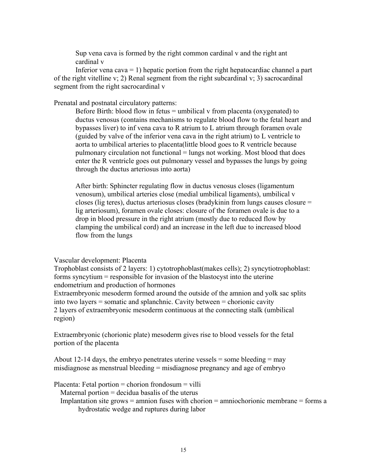Sup vena cava is formed by the right common cardinal v and the right ant cardinal v

Inferior vena cava  $= 1$ ) hepatic portion from the right hepatocardiac channel a part of the right vitelline v; 2) Renal segment from the right subcardinal v; 3) sacrocardinal segment from the right sacrocardinal v

Prenatal and postnatal circulatory patterns:

Before Birth: blood flow in fetus  $=$  umbilical v from placenta (oxygenated) to ductus venosus (contains mechanisms to regulate blood flow to the fetal heart and bypasses liver) to inf vena cava to R atrium to L atrium through foramen ovale (guided by valve of the inferior vena cava in the right atrium) to L ventricle to aorta to umbilical arteries to placenta(little blood goes to R ventricle because pulmonary circulation not functional = lungs not working. Most blood that does enter the R ventricle goes out pulmonary vessel and bypasses the lungs by going through the ductus arteriosus into aorta)

After birth: Sphincter regulating flow in ductus venosus closes (ligamentum venosum), umbilical arteries close (medial umbilical ligaments), umbilical v closes (lig teres), ductus arteriosus closes (bradykinin from lungs causes closure = lig arteriosum), foramen ovale closes: closure of the foramen ovale is due to a drop in blood pressure in the right atrium (mostly due to reduced flow by clamping the umbilical cord) and an increase in the left due to increased blood flow from the lungs

Vascular development: Placenta

Trophoblast consists of 2 layers: 1) cytotrophoblast(makes cells); 2) syncytiotrophoblast: forms syncytium = responsible for invasion of the blastocyst into the uterine endometrium and production of hormones

Extraembryonic mesoderm formed around the outside of the amnion and yolk sac splits into two layers = somatic and splanchnic. Cavity between = chorionic cavity 2 layers of extraembryonic mesoderm continuous at the connecting stalk (umbilical region)

Extraembryonic (chorionic plate) mesoderm gives rise to blood vessels for the fetal portion of the placenta

About 12-14 days, the embryo penetrates uterine vessels  $=$  some bleeding  $=$  may misdiagnose as menstrual bleeding = misdiagnose pregnancy and age of embryo

Placenta: Fetal portion = chorion frondosum = villi Maternal portion  $=$  decidua basalis of the uterus

Implantation site grows  $=$  amnion fuses with chorion  $=$  amniochorionic membrane  $=$  forms a hydrostatic wedge and ruptures during labor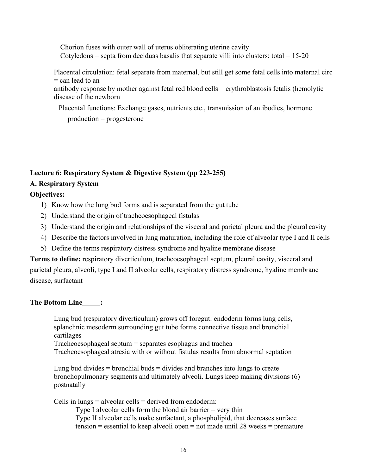Chorion fuses with outer wall of uterus obliterating uterine cavity Cotyledons = septa from deciduas basalis that separate villi into clusters: total =  $15-20$ 

Placental circulation: fetal separate from maternal, but still get some fetal cells into maternal circ  $=$  can lead to an

antibody response by mother against fetal red blood cells = erythroblastosis fetalis (hemolytic disease of the newborn

Placental functions: Exchange gases, nutrients etc., transmission of antibodies, hormone

production = progesterone

## **Lecture 6: Respiratory System & Digestive System (pp 223-255)**

## **A. Respiratory System**

## **Objectives:**

- 1) Know how the lung bud forms and is separated from the gut tube
- 2) Understand the origin of tracheoesophageal fistulas
- 3) Understand the origin and relationships of the visceral and parietal pleura and the pleural cavity
- 4) Describe the factors involved in lung maturation, including the role of alveolar type I and II cells
- 5) Define the terms respiratory distress syndrome and hyaline membrane disease

**Terms to define:** respiratory diverticulum, tracheoesophageal septum, pleural cavity, visceral and parietal pleura, alveoli, type I and II alveolar cells, respiratory distress syndrome, hyaline membrane disease, surfactant

## **The Bottom Line :**

Lung bud (respiratory diverticulum) grows off foregut: endoderm forms lung cells, splanchnic mesoderm surrounding gut tube forms connective tissue and bronchial cartilages

Tracheoesophageal septum = separates esophagus and trachea

Tracheoesophageal atresia with or without fistulas results from abnormal septation

Lung bud divides  $=$  bronchial buds  $=$  divides and branches into lungs to create bronchopulmonary segments and ultimately alveoli. Lungs keep making divisions (6) postnatally

Cells in lungs = alveolar cells = derived from endoderm:

Type I alveolar cells form the blood air barrier = very thin Type II alveolar cells make surfactant, a phospholipid, that decreases surface tension = essential to keep alveoli open = not made until 28 weeks = premature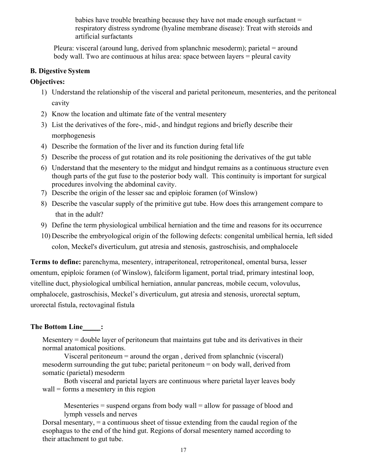babies have trouble breathing because they have not made enough surfactant = respiratory distress syndrome (hyaline membrane disease): Treat with steroids and artificial surfactants

Pleura: visceral (around lung, derived from splanchnic mesoderm); parietal = around body wall. Two are continuous at hilus area: space between layers = pleural cavity

## **B. Digestive System**

## **Objectives:**

- 1) Understand the relationship of the visceral and parietal peritoneum, mesenteries, and the peritoneal cavity
- 2) Know the location and ultimate fate of the ventral mesentery
- 3) List the derivatives of the fore-, mid-, and hindgut regions and briefly describe their morphogenesis
- 4) Describe the formation of the liver and its function during fetal life
- 5) Describe the process of gut rotation and its role positioning the derivatives of the gut table
- 6) Understand that the mesentery to the midgut and hindgut remains as a continuous structure even though parts of the gut fuse to the posterior body wall. This continuity is important for surgical procedures involving the abdominal cavity.
- 7) Describe the origin of the lesser sac and epiploic foramen (of Winslow)
- 8) Describe the vascular supply of the primitive gut tube. How does this arrangement compare to that in the adult?
- 9) Define the term physiological umbilical herniation and the time and reasons for its occurrence
- 10) Describe the embryological origin of the following defects: congenital umbilical hernia, left sided colon, Meckel's diverticulum, gut atresia and stenosis, gastroschisis, and omphalocele

**Terms to define:** parenchyma, mesentery, intraperitoneal, retroperitoneal, omental bursa, lesser omentum, epiploic foramen (of Winslow), falciform ligament, portal triad, primary intestinal loop, vitelline duct, physiological umbilical herniation, annular pancreas, mobile cecum, volovulus, omphalocele, gastroschisis, Meckel's diverticulum, gut atresia and stenosis, urorectal septum, urorectal fistula, rectovaginal fistula

## **The Bottom Line :**

Mesentery = double layer of peritoneum that maintains gut tube and its derivatives in their normal anatomical positions.

Visceral peritoneum = around the organ , derived from splanchnic (visceral) mesoderm surrounding the gut tube; parietal peritoneum = on body wall, derived from somatic (parietal) mesoderm

Both visceral and parietal layers are continuous where parietal layer leaves body wall = forms a mesentery in this region

Mesenteries  $=$  suspend organs from body wall  $=$  allow for passage of blood and lymph vessels and nerves

Dorsal mesentary, = a continuous sheet of tissue extending from the caudal region of the esophagus to the end of the hind gut. Regions of dorsal mesentery named according to their attachment to gut tube.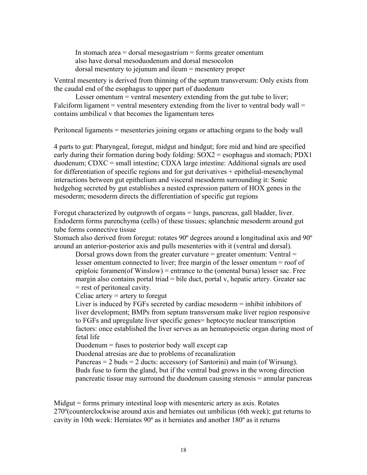In stomach area  $=$  dorsal mesogastrium  $=$  forms greater omentum also have dorsal mesoduodenum and dorsal mesocolon dorsal mesentery to jejunum and ileum = mesentery proper

Ventral mesentery is derived from thinning of the septum transversum: Only exists from the caudal end of the esophagus to upper part of duodenum

Lesser omentum = ventral mesentery extending from the gut tube to liver; Falciform ligament = ventral mesentery extending from the liver to ventral body wall = contains umbilical v that becomes the ligamentum teres

Peritoneal ligaments = mesenteries joining organs or attaching organs to the body wall

4 parts to gut: Pharyngeal, foregut, midgut and hindgut; fore mid and hind are specified early during their formation during body folding: SOX2 = esophagus and stomach; PDX1 duodenum; CDXC = small intestine; CDXA large intestine: Additional signals are used for differentiation of specific regions and for gut derivatives + epithelial-mesenchymal interactions between gut epithelium and visceral mesoderm surrounding it: Sonic hedgehog secreted by gut establishes a nested expression pattern of HOX genes in the mesoderm; mesoderm directs the differentiation of specific gut regions

Foregut characterized by outgrowth of organs = lungs, pancreas, gall bladder, liver. Endoderm forms parenchyma (cells) of these tissues; splanchnic mesoderm around gut tube forms connective tissue

Stomach also derived from foregut: rotates 90º degrees around a longitudinal axis and 90º around an anterior-posterior axis and pulls mesenteries with it (ventral and dorsal).

Dorsal grows down from the greater curvature  $=$  greater omentum: Ventral  $=$ lesser omentum connected to liver; free margin of the lesser omentum = roof of epiploic foramen(of Winslow) = entrance to the (omental bursa) lesser sac. Free margin also contains portal triad  $=$  bile duct, portal v, hepatic artery. Greater sac = rest of peritoneal cavity.

Celiac artery  $=$  artery to foregut

Liver is induced by FGFs secreted by cardiac mesoderm = inhibit inhibitors of liver development; BMPs from septum transversum make liver region responsive to FGFs and upregulate liver specific genes= heptocyte nuclear transcription factors: once established the liver serves as an hematopoietic organ during most of fetal life

Duodenum  $=$  fuses to posterior body wall except cap

Duodenal atresias are due to problems of recanalization

Pancreas  $= 2$  buds  $= 2$  ducts: accessory (of Santorini) and main (of Wirsung). Buds fuse to form the gland, but if the ventral bud grows in the wrong direction pancreatic tissue may surround the duodenum causing stenosis = annular pancreas

Midgut = forms primary intestinal loop with mesenteric artery as axis. Rotates 270º(counterclockwise around axis and herniates out umbilicus (6th week); gut returns to cavity in 10th week: Herniates  $90^{\circ}$  as it herniates and another  $180^{\circ}$  as it returns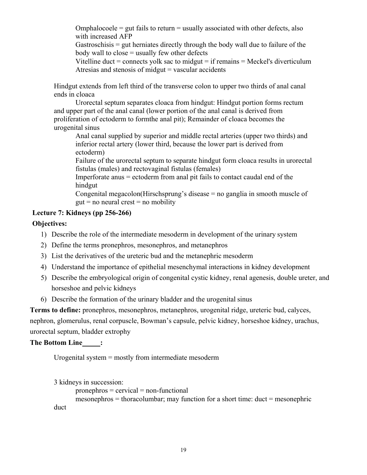Omphalocoele  $=$  gut fails to return  $=$  usually associated with other defects, also with increased AFP

Gastroschisis = gut herniates directly through the body wall due to failure of the body wall to close = usually few other defects

Vitelline duct  $=$  connects yolk sac to midgut  $=$  if remains  $=$  Meckel's diverticulum Atresias and stenosis of midgut  $=$  vascular accidents

Hindgut extends from left third of the transverse colon to upper two thirds of anal canal ends in cloaca

Urorectal septum separates cloaca from hindgut: Hindgut portion forms rectum and upper part of the anal canal (lower portion of the anal canal is derived from proliferation of ectoderm to formthe anal pit); Remainder of cloaca becomes the urogenital sinus

Anal canal supplied by superior and middle rectal arteries (upper two thirds) and inferior rectal artery (lower third, because the lower part is derived from ectoderm)

Failure of the urorectal septum to separate hindgut form cloaca results in urorectal fistulas (males) and rectovaginal fistulas (females)

Imperforate anus = ectoderm from anal pit fails to contact caudal end of the hindgut

Congenital megacolon(Hirschsprung's disease = no ganglia in smooth muscle of  $g$ ut = no neural crest = no mobility

## **Lecture 7: Kidneys (pp 256-266)**

## **Objectives:**

- 1) Describe the role of the intermediate mesoderm in development of the urinary system
- 2) Define the terms pronephros, mesonephros, and metanephros
- 3) List the derivatives of the ureteric bud and the metanephric mesoderm
- 4) Understand the importance of epithelial mesenchymal interactions in kidney development
- 5) Describe the embryological origin of congenital cystic kidney, renal agenesis, double ureter, and horseshoe and pelvic kidneys
- 6) Describe the formation of the urinary bladder and the urogenital sinus

**Terms to define:** pronephros, mesonephros, metanephros, urogenital ridge, ureteric bud, calyces,

nephron, glomerulus, renal corpuscle, Bowman's capsule, pelvic kidney, horseshoe kidney, urachus, urorectal septum, bladder extrophy

## The Bottom Line\_\_\_\_\_\_;

Urogenital system = mostly from intermediate mesoderm

```
3 kidneys in succession:
```

```
pronephros = cervical = non-functional
```
mesonephros = thoracolumbar; may function for a short time: duct = mesonephric duct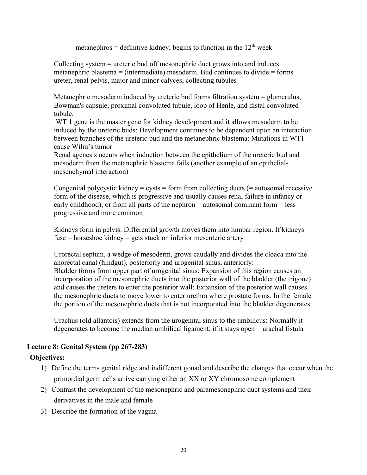metanephros = definitive kidney; begins to function in the  $12<sup>th</sup>$  week

Collecting system = ureteric bud off mesonephric duct grows into and induces metanephric blastema  $=$  (intermediate) mesoderm. Bud continues to divide  $=$  forms ureter, renal pelvis, major and minor calyces, collecting tubules

Metanephric mesoderm induced by ureteric bud forms filtration system = glomerulus, Bowman's capsule, proximal convoluted tubule, loop of Henle, and distal convoluted tubule.

WT 1 gene is the master gene for kidney development and it allows mesoderm to be induced by the ureteric buds: Development continues to be dependent upon an interaction between branches of the ureteric bud and the metanephric blastema: Mutations in WT1 cause Wilm's tumor

Renal agenesis occurs when induction between the epithelium of the ureteric bud and mesoderm from the metanephric blastema fails (another example of an epithelialmesenchymal interaction)

Congenital polycystic kidney = cysts = form from collecting ducts  $(=$  autosomal recessive form of the disease, which is progressive and usually causes renal failure in infancy or early childhood); or from all parts of the nephron = autosomal dominant form = less progressive and more common

Kidneys form in pelvis: Differential growth moves them into lumbar region. If kidneys fuse = horseshoe kidney = gets stuck on inferior mesenteric artery

Urorectal septum, a wedge of mesoderm, grows caudally and divides the cloaca into the anorectal canal (hindgut), posteriorly and urogenital sinus, anteriorly: Bladder forms from upper part of urogenital sinus: Expansion of this region causes an incorporation of the mesonephric ducts into the posterior wall of the bladder (the trigone) and causes the ureters to enter the posterior wall: Expansion of the posterior wall causes the mesonephric ducts to move lower to enter urethra where prostate forms. In the female the portion of the mesonephric ducts that is not incorporated into the bladder degenerates

Urachus (old allantois) extends from the urogenital sinus to the umbilicus: Normally it degenerates to become the median umbilical ligament; if it stays open = urachal fistula

## **Lecture 8: Genital System (pp 267-283)**

## **Objectives:**

- 1) Define the terms genital ridge and indifferent gonad and describe the changes that occur when the primordial germ cells arrive carrying either an XX or XY chromosome complement
- 2) Contrast the development of the mesonephric and paramesonephric duct systems and their derivatives in the male and female
- 3) Describe the formation of the vagina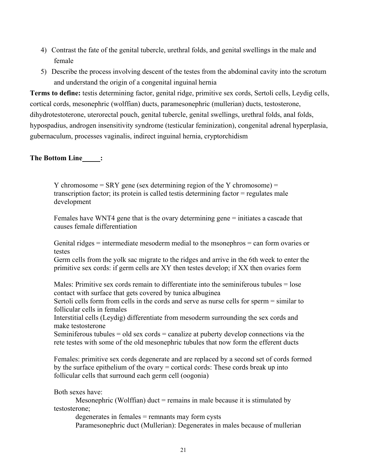- 4) Contrast the fate of the genital tubercle, urethral folds, and genital swellings in the male and female
- 5) Describe the process involving descent of the testes from the abdominal cavity into the scrotum and understand the origin of a congenital inguinal hernia

**Terms to define:** testis determining factor, genital ridge, primitive sex cords, Sertoli cells, Leydig cells, cortical cords, mesonephric (wolffian) ducts, paramesonephric (mullerian) ducts, testosterone, dihydrotestoterone, uterorectal pouch, genital tubercle, genital swellings, urethral folds, anal folds, hypospadius, androgen insensitivity syndrome (testicular feminization), congenital adrenal hyperplasia, gubernaculum, processes vaginalis, indirect inguinal hernia, cryptorchidism

## The Bottom Line\_\_\_\_\_\_;

Y chromosome  $=$  SRY gene (sex determining region of the Y chromosome)  $=$ transcription factor; its protein is called testis determining factor = regulates male development

Females have WNT4 gene that is the ovary determining gene = initiates a cascade that causes female differentiation

Genital ridges  $=$  intermediate mesoderm medial to the msonephros  $=$  can form ovaries or testes

Germ cells from the yolk sac migrate to the ridges and arrive in the 6th week to enter the primitive sex cords: if germ cells are XY then testes develop; if XX then ovaries form

Males: Primitive sex cords remain to differentiate into the seminiferous tubules = lose contact with surface that gets covered by tunica albuginea

Sertoli cells form from cells in the cords and serve as nurse cells for sperm = similar to follicular cells in females

Interstitial cells (Leydig) differentiate from mesoderm surrounding the sex cords and make testosterone

Seminiferous tubules = old sex cords = canalize at puberty develop connections via the rete testes with some of the old mesonephric tubules that now form the efferent ducts

Females: primitive sex cords degenerate and are replaced by a second set of cords formed by the surface epithelium of the ovary = cortical cords: These cords break up into follicular cells that surround each germ cell (oogonia)

Both sexes have:

Mesonephric (Wolffian) duct  $=$  remains in male because it is stimulated by testosterone;

degenerates in females = remnants may form cysts Paramesonephric duct (Mullerian): Degenerates in males because of mullerian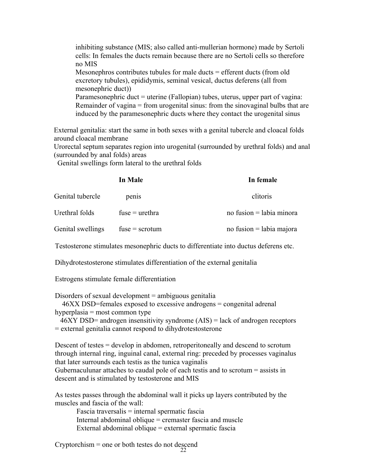inhibiting substance (MIS; also called anti-mullerian hormone) made by Sertoli cells: In females the ducts remain because there are no Sertoli cells so therefore no MIS

Mesonephros contributes tubules for male ducts  $=$  efferent ducts (from old excretory tubules), epididymis, seminal vesical, ductus deferens (all from mesonephric duct))

Paramesonephric duct = uterine (Fallopian) tubes, uterus, upper part of vagina: Remainder of vagina = from urogenital sinus: from the sinovaginal bulbs that are induced by the paramesonephric ducts where they contact the urogenital sinus

External genitalia: start the same in both sexes with a genital tubercle and cloacal folds around cloacal membrane

Urorectal septum separates region into urogenital (surrounded by urethral folds) and anal (surrounded by anal folds) areas

Genital swellings form lateral to the urethral folds

|                   | In Male          | In female                  |
|-------------------|------------------|----------------------------|
| Genital tubercle  | penis            | clitoris                   |
| Urethral folds    | fuse $=$ urethra | no fusion $=$ labia minora |
| Genital swellings | $fuse =$ scrotum | no fusion = labia majora   |

Testosterone stimulates mesonephric ducts to differentiate into ductus deferens etc.

Dihydrotestosterone stimulates differentiation of the external genitalia

Estrogens stimulate female differentiation

Disorders of sexual development = ambiguous genitalia

46XX DSD=females exposed to excessive androgens = congenital adrenal hyperplasia = most common type

46XY DSD= androgen insensitivity syndrome (AIS) = lack of androgen receptors = external genitalia cannot respond to dihydrotestosterone

Descent of testes = develop in abdomen, retroperitoneally and descend to scrotum through internal ring, inguinal canal, external ring: preceded by processes vaginalus that later surrounds each testis as the tunica vaginalis Gubernaculunar attaches to caudal pole of each testis and to scrotum = assists in descent and is stimulated by testosterone and MIS

As testes passes through the abdominal wall it picks up layers contributed by the muscles and fascia of the wall:

Fascia traversalis = internal spermatic fascia Internal abdominal oblique = cremaster fascia and muscle External abdominal oblique = external spermatic fascia

22 Cryptorchism = one or both testes do not descend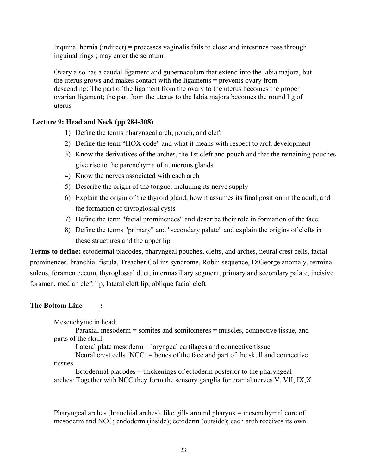Inquinal hernia (indirect) = processes vaginalis fails to close and intestines pass through inguinal rings ; may enter the scrotum

Ovary also has a caudal ligament and gubernaculum that extend into the labia majora, but the uterus grows and makes contact with the ligaments = prevents ovary from descending: The part of the ligament from the ovary to the uterus becomes the proper ovarian ligament; the part from the uterus to the labia majora becomes the round lig of uterus

## **Lecture 9: Head and Neck (pp 284-308)**

- 1) Define the terms pharyngeal arch, pouch, and cleft
- 2) Define the term "HOX code" and what it means with respect to arch development
- 3) Know the derivatives of the arches, the 1st cleft and pouch and that the remaining pouches give rise to the parenchyma of numerous glands
- 4) Know the nerves associated with each arch
- 5) Describe the origin of the tongue, including its nerve supply
- 6) Explain the origin of the thyroid gland, how it assumes its final position in the adult, and the formation of thyroglossal cysts
- 7) Define the term "facial prominences" and describe their role in formation of the face
- 8) Define the terms "primary" and "secondary palate" and explain the origins of clefts in these structures and the upper lip

**Terms to define:** ectodermal placodes, pharyngeal pouches, clefts, and arches, neural crest cells, facial prominences, branchial fistula, Treacher Collins syndrome, Robin sequence, DiGeorge anomaly, terminal sulcus, foramen cecum, thyroglossal duct, intermaxillary segment, primary and secondary palate, incisive foramen, median cleft lip, lateral cleft lip, oblique facial cleft

## **The Bottom Line\_\_\_\_\_:**

Mesenchyme in head:

Paraxial mesoderm = somites and somitomeres = muscles, connective tissue, and parts of the skull

Lateral plate mesoderm = laryngeal cartilages and connective tissue

Neural crest cells (NCC) = bones of the face and part of the skull and connective tissues

Ectodermal placodes = thickenings of ectoderm posterior to the pharyngeal arches: Together with NCC they form the sensory ganglia for cranial nerves V, VII, IX,X

Pharyngeal arches (branchial arches), like gills around pharynx = mesenchymal core of mesoderm and NCC; endoderm (inside); ectoderm (outside); each arch receives its own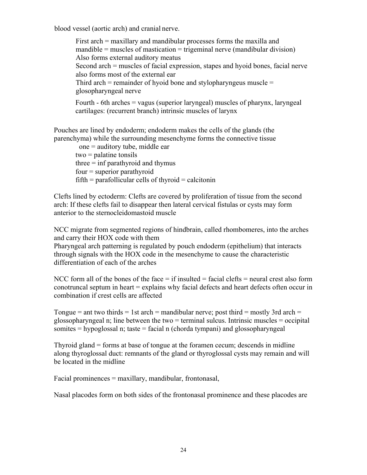blood vessel (aortic arch) and cranial nerve.

First arch = maxillary and mandibular processes forms the maxilla and  $m$  mandible = muscles of mastication = trigeminal nerve (mandibular division) Also forms external auditory meatus Second arch = muscles of facial expression, stapes and hyoid bones, facial nerve also forms most of the external ear Third arch  $=$  remainder of hyoid bone and stylopharyngeus muscle  $=$ glosopharyngeal nerve Fourth - 6th arches = vagus (superior laryngeal) muscles of pharynx, laryngeal cartilages: (recurrent branch) intrinsic muscles of larynx

Pouches are lined by endoderm; endoderm makes the cells of the glands (the parenchyma) while the surrounding mesenchyme forms the connective tissue

one = auditory tube, middle ear two = palatine tonsils  $three = inf parathyroid and thymus$ four = superior parathyroid  $fifth = parafollicular cells of thyroid = calcitonin$ 

Clefts lined by ectoderm: Clefts are covered by proliferation of tissue from the second arch: If these clefts fail to disappear then lateral cervical fistulas or cysts may form anterior to the sternocleidomastoid muscle

NCC migrate from segmented regions of hindbrain, called rhombomeres, into the arches and carry their HOX code with them

Pharyngeal arch patterning is regulated by pouch endoderm (epithelium) that interacts through signals with the HOX code in the mesenchyme to cause the characteristic differentiation of each of the arches

NCC form all of the bones of the face  $=$  if insulted  $=$  facial clefts  $=$  neural crest also form conotruncal septum in heart = explains why facial defects and heart defects often occur in combination if crest cells are affected

Tongue = ant two thirds = 1st arch = mandibular nerve; post third = mostly 3rd arch = glossopharyngeal n; line between the two  $=$  terminal sulcus. Intrinsic muscles  $=$  occipital somites = hypoglossal n; taste = facial n (chorda tympani) and glossopharyngeal

Thyroid gland = forms at base of tongue at the foramen cecum; descends in midline along thyroglossal duct: remnants of the gland or thyroglossal cysts may remain and will be located in the midline

Facial prominences = maxillary, mandibular, frontonasal,

Nasal placodes form on both sides of the frontonasal prominence and these placodes are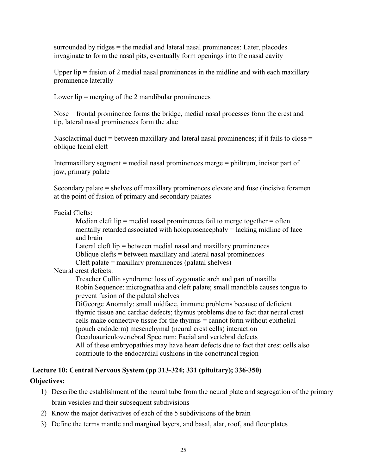surrounded by ridges = the medial and lateral nasal prominences: Later, placodes invaginate to form the nasal pits, eventually form openings into the nasal cavity

Upper lip  $=$  fusion of 2 medial nasal prominences in the midline and with each maxillary prominence laterally

Lower  $lip =$  merging of the 2 mandibular prominences

Nose = frontal prominence forms the bridge, medial nasal processes form the crest and tip, lateral nasal prominences form the alae

Nasolacrimal duct = between maxillary and lateral nasal prominences; if it fails to close = oblique facial cleft

Intermaxillary segment = medial nasal prominences merge = philtrum, incisor part of jaw, primary palate

Secondary palate = shelves off maxillary prominences elevate and fuse (incisive foramen at the point of fusion of primary and secondary palates

#### Facial Clefts:

Median cleft lip = medial nasal prominences fail to merge together = often mentally retarded associated with holoprosencephaly  $=$  lacking midline of face and brain

Lateral cleft lip = between medial nasal and maxillary prominences Oblique clefts = between maxillary and lateral nasal prominences Cleft palate = maxillary prominences (palatal shelves)

Neural crest defects:

Treacher Collin syndrome: loss of zygomatic arch and part of maxilla Robin Sequence: micrognathia and cleft palate; small mandible causes tongue to prevent fusion of the palatal shelves

DiGeorge Anomaly: small midface, immune problems because of deficient thymic tissue and cardiac defects; thymus problems due to fact that neural crest cells make connective tissue for the thymus = cannot form without epithelial (pouch endoderm) mesenchymal (neural crest cells) interaction Occuloauriculovertebral Spectrum: Facial and vertebral defects All of these embryopathies may have heart defects due to fact that crest cells also contribute to the endocardial cushions in the conotruncal region

# **Lecture 10: Central Nervous System (pp 313-324; 331 (pituitary); 336-350)**

## **Objectives:**

- 1) Describe the establishment of the neural tube from the neural plate and segregation of the primary brain vesicles and their subsequent subdivisions
- 2) Know the major derivatives of each of the 5 subdivisions of the brain
- 3) Define the terms mantle and marginal layers, and basal, alar, roof, and floor plates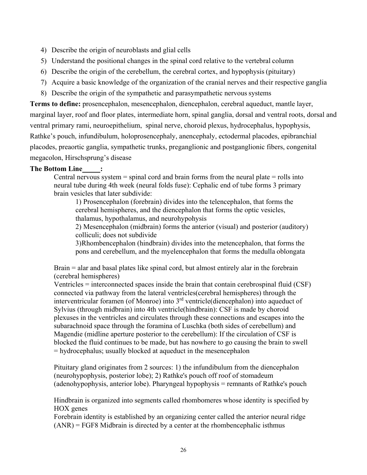- 4) Describe the origin of neuroblasts and glial cells
- 5) Understand the positional changes in the spinal cord relative to the vertebral column
- 6) Describe the origin of the cerebellum, the cerebral cortex, and hypophysis (pituitary)
- 7) Acquire a basic knowledge of the organization of the cranial nerves and their respective ganglia
- 8) Describe the origin of the sympathetic and parasympathetic nervous systems

**Terms to define:** prosencephalon, mesencephalon, diencephalon, cerebral aqueduct, mantle layer, marginal layer, roof and floor plates, intermediate horn, spinal ganglia, dorsal and ventral roots, dorsal and ventral primary rami, neuroepithelium, spinal nerve, choroid plexus, hydrocephalus, hypophysis, Rathke's pouch, infundibulum, holoprosencephaly, anencephaly, ectodermal placodes, epibranchial placodes, preaortic ganglia, sympathetic trunks, preganglionic and postganglionic fibers, congenital megacolon, Hirschsprung's disease

#### **The Bottom Line :**

Central nervous system  $=$  spinal cord and brain forms from the neural plate  $=$  rolls into neural tube during 4th week (neural folds fuse): Cephalic end of tube forms 3 primary brain vesicles that later subdivide:

1) Prosencephalon (forebrain) divides into the telencephalon, that forms the cerebral hemispheres, and the diencephalon that forms the optic vesicles, thalamus, hypothalamus, and neurohypohysis

2) Mesencephalon (midbrain) forms the anterior (visual) and posterior (auditory) colliculi; does not subdivide

3)Rhombencephalon (hindbrain) divides into the metencephalon, that forms the pons and cerebellum, and the myelencephalon that forms the medulla oblongata

Brain = alar and basal plates like spinal cord, but almost entirely alar in the forebrain (cerebral hemispheres)

Ventricles = interconnected spaces inside the brain that contain cerebrospinal fluid (CSF) connected via pathway from the lateral ventricles(cerebral hemispheres) through the interventricular foramen (of Monroe) into  $3<sup>rd</sup>$  ventricle(diencephalon) into aqueduct of Sylvius (through midbrain) into 4th ventricle(hindbrain): CSF is made by choroid plexuses in the ventricles and circulates through these connections and escapes into the subarachnoid space through the foramina of Luschka (both sides of cerebellum) and Magendie (midline aperture posterior to the cerebellum): If the circulation of CSF is blocked the fluid continues to be made, but has nowhere to go causing the brain to swell = hydrocephalus; usually blocked at aqueduct in the mesencephalon

Pituitary gland originates from 2 sources: 1) the infundibulum from the diencephalon (neurohypophysis, posterior lobe); 2) Rathke's pouch off roof of stomadeum (adenohypophysis, anterior lobe). Pharyngeal hypophysis = remnants of Rathke's pouch

Hindbrain is organized into segments called rhombomeres whose identity is specified by HOX genes

Forebrain identity is established by an organizing center called the anterior neural ridge  $(ANR) = FGF8$  Midbrain is directed by a center at the rhombencephalic isthmus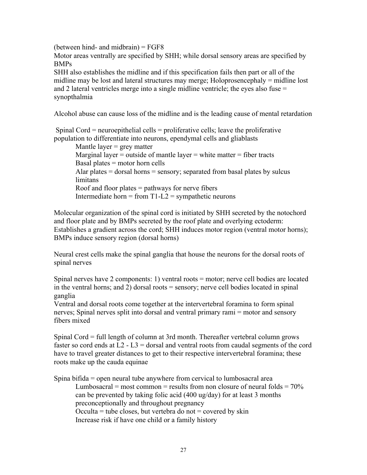(between hind- and midbrain)  $=$   $FGF8$ Motor areas ventrally are specified by SHH; while dorsal sensory areas are specified by BMPs

SHH also establishes the midline and if this specification fails then part or all of the midline may be lost and lateral structures may merge; Holoprosencephaly = midline lost and 2 lateral ventricles merge into a single midline ventricle; the eyes also fuse = synopthalmia

Alcohol abuse can cause loss of the midline and is the leading cause of mental retardation

Spinal Cord = neuroepithelial cells = proliferative cells; leave the proliferative population to differentiate into neurons, ependymal cells and gliablasts

Mantle layer  $=$  grey matter Marginal layer = outside of mantle layer = white matter = fiber tracts Basal plates = motor horn cells Alar plates  $=$  dorsal horns  $=$  sensory; separated from basal plates by sulcus limitans Roof and floor plates = pathways for nerve fibers Intermediate horn = from  $T1-L2$  = sympathetic neurons

Molecular organization of the spinal cord is initiated by SHH secreted by the notochord and floor plate and by BMPs secreted by the roof plate and overlying ectoderm: Establishes a gradient across the cord; SHH induces motor region (ventral motor horns); BMPs induce sensory region (dorsal horns)

Neural crest cells make the spinal ganglia that house the neurons for the dorsal roots of spinal nerves

Spinal nerves have 2 components: 1) ventral roots = motor; nerve cell bodies are located in the ventral horns; and 2) dorsal roots = sensory; nerve cell bodies located in spinal ganglia

Ventral and dorsal roots come together at the intervertebral foramina to form spinal nerves; Spinal nerves split into dorsal and ventral primary rami = motor and sensory fibers mixed

Spinal Cord = full length of column at 3rd month. Thereafter vertebral column grows faster so cord ends at  $L2 - L3 =$  dorsal and ventral roots from caudal segments of the cord have to travel greater distances to get to their respective intervertebral foramina; these roots make up the cauda equinae

Spina bifida = open neural tube anywhere from cervical to lumbosacral area Lumbosacral = most common = results from non closure of neural folds =  $70\%$ can be prevented by taking folic acid (400 ug/day) for at least 3 months preconceptionally and throughout pregnancy Occulta = tube closes, but vertebra do not = covered by skin Increase risk if have one child or a family history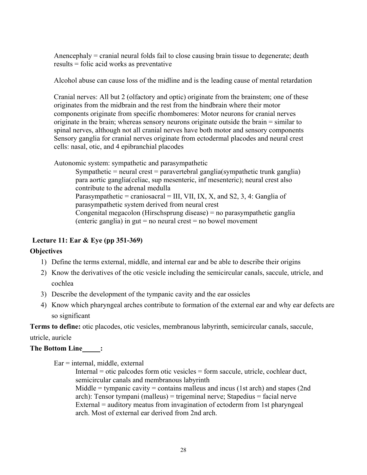Anencephaly = cranial neural folds fail to close causing brain tissue to degenerate; death results = folic acid works as preventative

Alcohol abuse can cause loss of the midline and is the leading cause of mental retardation

Cranial nerves: All but 2 (olfactory and optic) originate from the brainstem; one of these originates from the midbrain and the rest from the hindbrain where their motor components originate from specific rhombomeres: Motor neurons for cranial nerves originate in the brain; whereas sensory neurons originate outside the brain = similar to spinal nerves, although not all cranial nerves have both motor and sensory components Sensory ganglia for cranial nerves originate from ectodermal placodes and neural crest cells: nasal, otic, and 4 epibranchial placodes

Autonomic system: sympathetic and parasympathetic

Sympathetic = neural crest = paravertebral ganglia(sympathetic trunk ganglia) para aortic ganglia(celiac, sup mesenteric, inf mesenteric); neural crest also contribute to the adrenal medulla Parasympathetic = craniosacral = III, VII, IX, X, and S2, 3, 4: Ganglia of parasympathetic system derived from neural crest Congenital megacolon (Hirschsprung disease) = no parasympathetic ganglia (enteric ganglia) in gut  $=$  no neural crest  $=$  no bowel movement

## **Lecture 11: Ear & Eye (pp 351-369)**

## **Objectives**

- 1) Define the terms external, middle, and internal ear and be able to describe their origins
- 2) Know the derivatives of the otic vesicle including the semicircular canals, saccule, utricle, and cochlea
- 3) Describe the development of the tympanic cavity and the ear ossicles
- 4) Know which pharyngeal arches contribute to formation of the external ear and why ear defects are so significant

**Terms to define:** otic placodes, otic vesicles, membranous labyrinth, semicircular canals, saccule,

#### utricle, auricle

## **The Bottom Line\_\_\_\_\_:**

Ear = internal, middle, external

Internal = otic palcodes form otic vesicles = form saccule, utricle, cochlear duct, semicircular canals and membranous labyrinth

Middle = tympanic cavity = contains malleus and incus (1st arch) and stapes (2nd arch): Tensor tympani (malleus) = trigeminal nerve; Stapedius = facial nerve External = auditory meatus from invagination of ectoderm from 1st pharyngeal arch. Most of external ear derived from 2nd arch.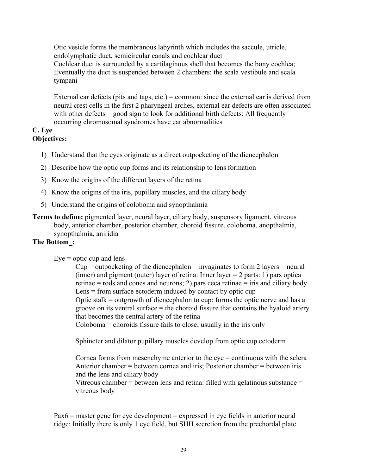Otic vesicle forms the membranous labyrinth which includes the saccule, utricle, endolymphatic duct, semicircular canals and cochlear duct

Cochlear duct is surrounded by a cartilaginous shell that becomes the bony cochlea; Eventually the duct is suspended between 2 chambers: the scala vestibule and scala tympani

External ear defects (pits and tags, etc.) = common: since the external ear is derived from neural crest cells in the first 2 pharyngeal arches, external ear defects are often associated with other defects = good sign to look for additional birth defects: All frequently occurring chromosomal syndromes have ear abnormalities

#### **C. Eye Objectives:**

- 1) Understand that the eyes originate as a direct outpocketing of the diencephalon
- 2) Describe how the optic cup forms and its relationship to lens formation
- 3) Know the origins of the different layers of the retina
- 4) Know the origins of the iris, pupillary muscles, and the ciliary body
- 5) Understand the origins of coloboma and synopthalmia
- **Terms to define:** pigmented layer, neural layer, ciliary body, suspensory ligament, vitreous body, anterior chamber, posterior chamber, choroid fissure, coloboma, anopthalmia, synopthalmia, aniridia

## **The Bottom :**

 $Eye =$  optic cup and lens

vitreous body

 $Cup = outpocketing$  of the diencephalon = invaginates to form 2 layers = neural (inner) and pigment (outer) layer of retina: Inner layer  $= 2$  parts: 1) pars optica retinae = rods and cones and neurons; 2) pars ceca retinae = iris and ciliary body  $Lens = from surface ectoderm induced by contact by optic cup$ Optic stalk = outgrowth of diencephalon to cup: forms the optic nerve and has a groove on its ventral surface = the choroid fissure that contains the hyaloid artery that becomes the central artery of the retina Coloboma = choroids fissure fails to close; usually in the iris only

Sphincter and dilator pupillary muscles develop from optic cup ectoderm

Cornea forms from mesenchyme anterior to the eye = continuous with the sclera Anterior chamber = between cornea and iris; Posterior chamber = between iris and the lens and ciliary body Vitreous chamber = between lens and retina: filled with gelatinous substance =

 $Pax6$  = master gene for eye development = expressed in eye fields in anterior neural ridge: Initially there is only 1 eye field, but SHH secretion from the prechordal plate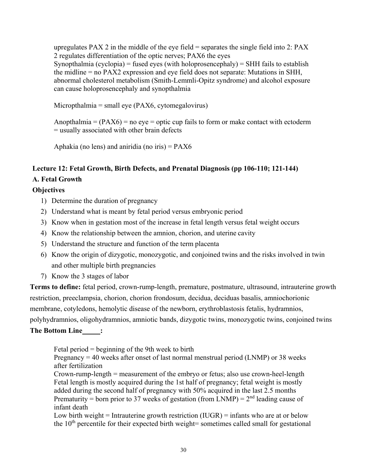upregulates  $PAX 2$  in the middle of the eye field = separates the single field into 2:  $PAX$ 2 regulates differentiation of the optic nerves; PAX6 the eyes Synopthalmia (cyclopia) = fused eyes (with holoprosencephaly) = SHH fails to establish the midline = no PAX2 expression and eye field does not separate: Mutations in SHH, abnormal cholesterol metabolism (Smith-Lemmli-Opitz syndrome) and alcohol exposure can cause holoprosencephaly and synopthalmia

Micropthalmia = small eye ( $PAX6$ , cytomegalovirus)

Anopthalmia =  $(PAX6)$  = no eye = optic cup fails to form or make contact with ectoderm = usually associated with other brain defects

Aphakia (no lens) and aniridia (no iris) =  $PAX6$ 

## **Lecture 12: Fetal Growth, Birth Defects, and Prenatal Diagnosis (pp 106-110; 121-144) A. Fetal Growth**

## **Objectives**

- 1) Determine the duration of pregnancy
- 2) Understand what is meant by fetal period versus embryonic period
- 3) Know when in gestation most of the increase in fetal length versus fetal weight occurs
- 4) Know the relationship between the amnion, chorion, and uterine cavity
- 5) Understand the structure and function of the term placenta
- 6) Know the origin of dizygotic, monozygotic, and conjoined twins and the risks involved in twin and other multiple birth pregnancies
- 7) Know the 3 stages of labor

**Terms to define:** fetal period, crown-rump-length, premature, postmature, ultrasound, intrauterine growth restriction, preeclampsia, chorion, chorion frondosum, decidua, deciduas basalis, amniochorionic membrane, cotyledons, hemolytic disease of the newborn, erythroblastosis fetalis, hydramnios, polyhydramnios, oligohydramnios, amniotic bands, dizygotic twins, monozygotic twins, conjoined twins

## **The Bottom Line :**

Fetal period = beginning of the 9th week to birth

Pregnancy  $= 40$  weeks after onset of last normal menstrual period (LNMP) or 38 weeks after fertilization

Crown-rump-length = measurement of the embryo or fetus; also use crown-heel-length Fetal length is mostly acquired during the 1st half of pregnancy; fetal weight is mostly added during the second half of pregnancy with 50% acquired in the last 2.5 months Prematurity = born prior to 37 weeks of gestation (from LNMP) =  $2<sup>nd</sup>$  leading cause of infant death

Low birth weight = Intrauterine growth restriction  $(IVGR)$  = infants who are at or below the  $10<sup>th</sup>$  percentile for their expected birth weight= sometimes called small for gestational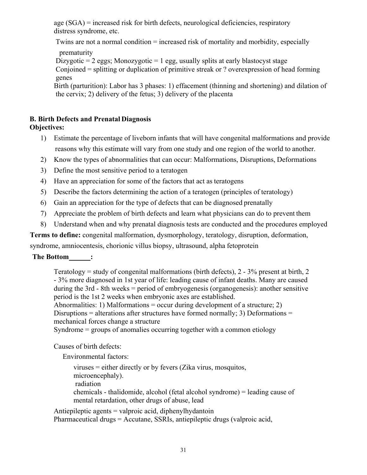age (SGA) = increased risk for birth defects, neurological deficiencies, respiratory distress syndrome, etc.

Twins are not a normal condition = increased risk of mortality and morbidity, especially

prematurity

Dizygotic  $= 2$  eggs; Monozygotic  $= 1$  egg, usually splits at early blastocyst stage Conjoined = splitting or duplication of primitive streak or ? overexpression of head forming genes

Birth (parturition): Labor has 3 phases: 1) effacement (thinning and shortening) and dilation of the cervix; 2) delivery of the fetus; 3) delivery of the placenta

## **B. Birth Defects and Prenatal Diagnosis**

## **Objectives:**

- 1) Estimate the percentage of liveborn infants that will have congenital malformations and provide reasons why this estimate will vary from one study and one region of the world to another.
- 2) Know the types of abnormalities that can occur: Malformations, Disruptions, Deformations
- 3) Define the most sensitive period to a teratogen
- 4) Have an appreciation for some of the factors that act as teratogens
- 5) Describe the factors determining the action of a teratogen (principles of teratology)
- 6) Gain an appreciation for the type of defects that can be diagnosed prenatally
- 7) Appreciate the problem of birth defects and learn what physicians can do to prevent them
- 8) Understand when and why prenatal diagnosis tests are conducted and the procedures employed

**Terms to define:** congenital malformation, dysmorphology, teratology, disruption, deformation,

syndrome, amniocentesis, chorionic villus biopsy, ultrasound, alpha fetoprotein

## **The Bottom :**

Teratology = study of congenital malformations (birth defects),  $2 - 3\%$  present at birth,  $2$ - 3% more diagnosed in 1st year of life: leading cause of infant deaths. Many are caused during the 3rd - 8th weeks = period of embryogenesis (organogenesis): another sensitive period is the 1st 2 weeks when embryonic axes are established.

Abnormalities: 1) Malformations = occur during development of a structure; 2)

Disruptions = alterations after structures have formed normally; 3) Deformations = mechanical forces change a structure

Syndrome = groups of anomalies occurring together with a common etiology

Causes of birth defects:

Environmental factors:

viruses = either directly or by fevers (Zika virus, mosquitos, microencephaly). radiation chemicals - thalidomide, alcohol (fetal alcohol syndrome) = leading cause of mental retardation, other drugs of abuse, lead

Antiepileptic agents = valproic acid, diphenylhydantoin Pharmaceutical drugs = Accutane, SSRIs, antiepileptic drugs (valproic acid,